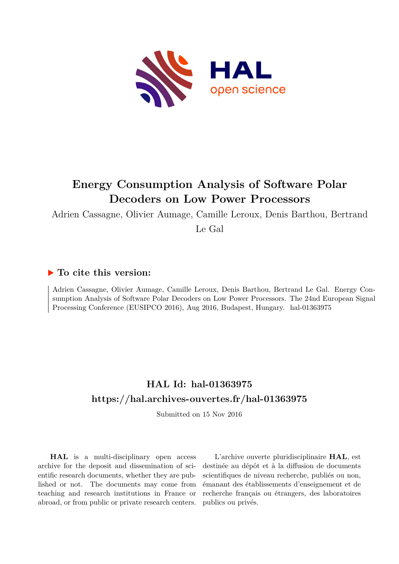

# **Energy Consumption Analysis of Software Polar Decoders on Low Power Processors**

Adrien Cassagne, Olivier Aumage, Camille Leroux, Denis Barthou, Bertrand

Le Gal

## **To cite this version:**

Adrien Cassagne, Olivier Aumage, Camille Leroux, Denis Barthou, Bertrand Le Gal. Energy Consumption Analysis of Software Polar Decoders on Low Power Processors. The 24nd European Signal Processing Conference (EUSIPCO 2016), Aug 2016, Budapest, Hungary. hal-01363975

## **HAL Id: hal-01363975 <https://hal.archives-ouvertes.fr/hal-01363975>**

Submitted on 15 Nov 2016

**HAL** is a multi-disciplinary open access archive for the deposit and dissemination of scientific research documents, whether they are published or not. The documents may come from teaching and research institutions in France or abroad, or from public or private research centers.

L'archive ouverte pluridisciplinaire **HAL**, est destinée au dépôt et à la diffusion de documents scientifiques de niveau recherche, publiés ou non, émanant des établissements d'enseignement et de recherche français ou étrangers, des laboratoires publics ou privés.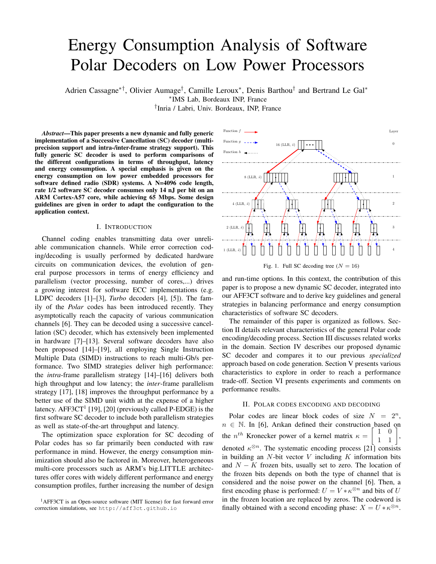# Energy Consumption Analysis of Software Polar Decoders on Low Power Processors

Adrien Cassagne∗†, Olivier Aumage† , Camille Leroux<sup>∗</sup> , Denis Barthou† and Bertrand Le Gal<sup>∗</sup> ∗ IMS Lab, Bordeaux INP, France † Inria / Labri, Univ. Bordeaux, INP, France

*Abstract*—This paper presents a new dynamic and fully generic implementation of a Successive Cancellation (SC) decoder (multiprecision support and intra-/inter-frame strategy support). This fully generic SC decoder is used to perform comparisons of the different configurations in terms of throughput, latency and energy consumption. A special emphasis is given on the energy consumption on low power embedded processors for software defined radio (SDR) systems. A N=4096 code length, rate 1/2 software SC decoder consumes only 14 nJ per bit on an ARM Cortex-A57 core, while achieving 65 Mbps. Some design guidelines are given in order to adapt the configuration to the application context.

#### I. INTRODUCTION

Channel coding enables transmitting data over unreliable communication channels. While error correction coding/decoding is usually performed by dedicated hardware circuits on communication devices, the evolution of general purpose processors in terms of energy efficiency and parallelism (vector processing, number of cores,...) drives a growing interest for software ECC implementations (e.g. LDPC decoders [1]–[3], *Turbo* decoders [4], [5]). The family of the *Polar* codes has been introduced recently. They asymptotically reach the capacity of various communication channels [6]. They can be decoded using a successive cancellation (SC) decoder, which has extensively been implemented in hardware [7]–[13]. Several software decoders have also been proposed [14]–[19], all employing Single Instruction Multiple Data (SIMD) instructions to reach multi-Gb/s performance. Two SIMD strategies deliver high performance: the *intra*-frame parallelism strategy [14]–[16] delivers both high throughput and low latency; the *inter*-frame parallelism strategy [17], [18] improves the throughput performance by a better use of the SIMD unit width at the expense of a higher latency.  $AFF3CT<sup>1</sup>$  [19], [20] (previously called P-EDGE) is the first software SC decoder to include both parallelism strategies as well as state-of-the-art throughput and latency.

The optimization space exploration for SC decoding of Polar codes has so far primarily been conducted with raw performance in mind. However, the energy consumption minimization should also be factored in. Moreover, heterogeneous multi-core processors such as ARM's big.LITTLE architectures offer cores with widely different performance and energy consumption profiles, further increasing the number of design



and run-time options. In this context, the contribution of this paper is to propose a new dynamic SC decoder, integrated into our AFF3CT software and to derive key guidelines and general strategies in balancing performance and energy consumption characteristics of software SC decoders.

The remainder of this paper is organized as follows. Section II details relevant characteristics of the general Polar code encoding/decoding process. Section III discusses related works in the domain. Section IV describes our proposed dynamic SC decoder and compares it to our previous *specialized* approach based on code generation. Section V presents various characteristics to explore in order to reach a performance trade-off. Section VI presents experiments and comments on performance results.

## II. POLAR CODES ENCODING AND DECODING

Polar codes are linear block codes of size  $N = 2<sup>n</sup>$ ,  $n \in \mathbb{N}$ . In [6], Arıkan defined their construction based on the  $n^{th}$  Kronecker power of a kernel matrix  $\kappa = \begin{bmatrix} 1 & 0 \\ 1 & 1 \end{bmatrix}$ , denoted  $\kappa^{\otimes n}$ . The systematic encoding process [21] consists in building an  $N$ -bit vector  $V$  including  $K$  information bits and  $N - K$  frozen bits, usually set to zero. The location of the frozen bits depends on both the type of channel that is considered and the noise power on the channel [6]. Then, a first encoding phase is performed:  $U = V * \kappa^{\otimes n}$  and bits of U in the frozen location are replaced by zeros. The codeword is finally obtained with a second encoding phase:  $X = U * \kappa^{\otimes n}$ .

<sup>&</sup>lt;sup>1</sup>AFF3CT is an Open-source software (MIT license) for fast forward error correction simulations, see http://aff3ct.github.io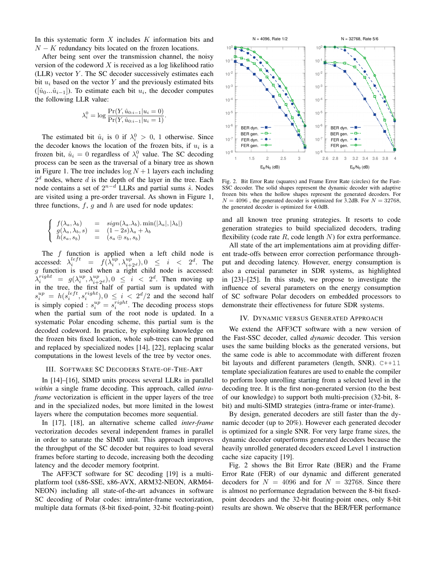In this systematic form  $X$  includes  $K$  information bits and  $N - K$  redundancy bits located on the frozen locations.

After being sent over the transmission channel, the noisy version of the codeword  $X$  is received as a log likelihood ratio  $(LLR)$  vector  $Y$ . The SC decoder successively estimates each bit  $u_i$  based on the vector Y and the previously estimated bits  $([*i*<sub>0</sub>...*i*<sub>i-1</sub>]).$  To estimate each bit  $u_i$ , the decoder computes the following LLR value:

$$
\lambda_i^0 = \log \frac{\Pr(Y, \hat{u}_{0:i-1} | u_i = 0)}{\Pr(Y, \hat{u}_{0:i-1} | u_i = 1)}.
$$

The estimated bit  $\hat{u}_i$  is 0 if  $\lambda_i^0 > 0$ , 1 otherwise. Since the decoder knows the location of the frozen bits, if  $u_i$  is a frozen bit,  $\hat{u}_i = 0$  regardless of  $\lambda_i^0$  value. The SC decoding process can be seen as the traversal of a binary tree as shown in Figure 1. The tree includes  $\log N + 1$  layers each including  $2<sup>d</sup>$  nodes, where d is the depth of the layer in the tree. Each node contains a set of  $2^{n-d}$  LLRs and partial sums  $\hat{s}$ . Nodes are visited using a pre-order traversal. As shown in Figure 1, three functions,  $f$ ,  $g$  and  $h$  are used for node updates:

$$
\begin{cases}\nf(\lambda_a, \lambda_b) = sign(\lambda_a, \lambda_b) \cdot min(|\lambda_a|, |\lambda_b|) \\
g(\lambda_a, \lambda_b, s) = (1 - 2s)\lambda_a + \lambda_b \\
h(s_a, s_b) = (s_a \oplus s_b, s_b)\n\end{cases}
$$

The  $f$  function is applied when a left child node is accessed:  $\lambda_i^{left} = f(\lambda_i^{up}, \lambda_{i+2^d}^{up}), 0 \le i < 2^d$ . The  $g$  function is used when a right child node is accessed:  $\lambda_i^{right} = g(\lambda_i^{up}, \lambda_{i+2^d}^{up}), 0 \leq i < 2^d$ . Then moving up in the tree, the first half of partial sum is updated with  $s_i^{up} = h(s_i^{left}, s_i^{right})$ ,  $0 \le i \le 2^d/2$  and the second half is simply copied :  $s_i^{up} = s_i^{right}$ . The decoding process stops when the partial sum of the root node is updated. In a systematic Polar encoding scheme, this partial sum is the decoded codeword. In practice, by exploiting knowledge on the frozen bits fixed location, whole sub-trees can be pruned and replaced by specialized nodes [14], [22], replacing scalar computations in the lowest levels of the tree by vector ones.

#### III. SOFTWARE SC DECODERS STATE-OF-THE-ART

In [14]–[16], SIMD units process several LLRs in parallel *within* a single frame decoding. This approach, called *intraframe* vectorization is efficient in the upper layers of the tree and in the specialized nodes, but more limited in the lowest layers where the computation becomes more sequential.

In [17], [18], an alternative scheme called *inter-frame* vectorization decodes several independent frames in parallel in order to saturate the SIMD unit. This approach improves the throughput of the SC decoder but requires to load several frames before starting to decode, increasing both the decoding latency and the decoder memory footprint.

The AFF3CT software for SC decoding [19] is a multiplatform tool (x86-SSE, x86-AVX, ARM32-NEON, ARM64- NEON) including all state-of-the-art advances in software SC decoding of Polar codes: intra/inter-frame vectorization, multiple data formats (8-bit fixed-point, 32-bit floating-point)



Fig. 2. Bit Error Rate (squares) and Frame Error Rate (circles) for the Fast-SSC decoder. The solid shapes represent the dynamic decoder with adaptive frozen bits when the hollow shapes represent the generated decoders. For  $N = 4096$ , the generated decoder is optimized for 3.2dB. For  $N = 32768$ , the generated decoder is optimized for 4.0dB.

and all known tree pruning strategies. It resorts to code generation strategies to build specialized decoders, trading flexibility (code rate R, code length N) for extra performance.

All state of the art implementations aim at providing different trade-offs between error correction performance throughput and decoding latency. However, energy consumption is also a crucial parameter in SDR systems, as highlighted in [23]–[25]. In this study, we propose to investigate the influence of several parameters on the energy consumption of SC software Polar decoders on embedded processors to demonstrate their effectiveness for future SDR systems.

## IV. DYNAMIC VERSUS GENERATED APPROACH

We extend the AFF3CT software with a new version of the Fast-SSC decoder, called *dynamic* decoder. This version uses the same building blocks as the generated versions, but the same code is able to accommodate with different frozen bit layouts and different parameters (length, SNR). C++11 template specialization features are used to enable the compiler to perform loop unrolling starting from a selected level in the decoding tree. It is the first non-generated version (to the best of our knowledge) to support both multi-precision (32-bit, 8 bit) and multi-SIMD strategies (intra-frame or inter-frame).

By design, generated decoders are still faster than the dynamic decoder (up to 20%). However each generated decoder is optimized for a single SNR. For very large frame sizes, the dynamic decoder outperforms generated decoders because the heavily unrolled generated decoders exceed Level 1 instruction cache size capacity [19].

Fig. 2 shows the Bit Error Rate (BER) and the Frame Error Rate (FER) of our dynamic and different generated decoders for  $N = 4096$  and for  $N = 32768$ . Since there is almost no performance degradation between the 8-bit fixedpoint decoders and the 32-bit floating-point ones, only 8-bit results are shown. We observe that the BER/FER performance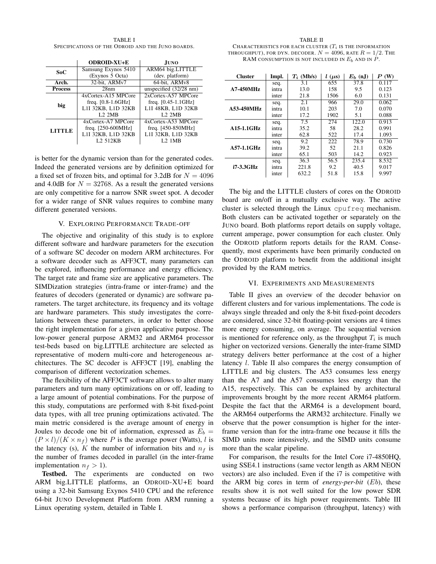TABLE I SPECIFICATIONS OF THE ODROID AND THE JUNO BOARDS.

|                | <b>ODROID-XU+E</b>   | JUNO                          |  |
|----------------|----------------------|-------------------------------|--|
| SoC            | Samsung Exynos 5410  | ARM64 big.LITTLE              |  |
|                | (Exynos 5 Octa)      | (dev. platform)               |  |
| Arch.          | 32-bit, ARMv7        | 64-bit, ARMv8                 |  |
| <b>Process</b> | 28nm                 | unspecified $(32/28$ nm)      |  |
| big            | 4xCortex-A15 MPCore  | 2xCortex-A57 MPCore           |  |
|                | freq. $[0.8-1.6GHz]$ | freq. $[0.45-1.1 \text{GHz}]$ |  |
|                | L1I 32KB, L1D 32KB   | L1I 48KB, L1D 32KB            |  |
|                | 1.2.2MB              | 1.2.2MB                       |  |
| <b>LITTLE</b>  | 4xCortex-A7 MPCore   | 4xCortex-A53 MPCore           |  |
|                | freq. $[250-600MHz]$ | freq. $[450-850MHz]$          |  |
|                | L1I 32KB, L1D 32KB   | L1I 32KB, L1D 32KB            |  |
|                | L <sub>2</sub> 512KB | <b>1.2.1MB</b>                |  |

is better for the dynamic version than for the generated codes. Indeed the generated versions are by definition optimized for a fixed set of frozen bits, and optimal for 3.2dB for  $N = 4096$ and 4.0dB for  $N = 32768$ . As a result the generated versions are only competitive for a narrow SNR sweet spot. A decoder for a wider range of SNR values requires to combine many different generated versions.

#### V. EXPLORING PERFORMANCE TRADE-OFF

The objective and originality of this study is to explore different software and hardware parameters for the execution of a software SC decoder on modern ARM architectures. For a software decoder such as AFF3CT, many parameters can be explored, influencing performance and energy efficiency. The target rate and frame size are applicative parameters. The SIMDization strategies (intra-frame or inter-frame) and the features of decoders (generated or dynamic) are software parameters. The target architecture, its frequency and its voltage are hardware parameters. This study investigates the correlations between these parameters, in order to better choose the right implementation for a given applicative purpose. The low-power general purpose ARM32 and ARM64 processor test-beds based on big.LITTLE architecture are selected as representative of modern multi-core and heterogeneous architectures. The SC decoder is AFF3CT [19], enabling the comparison of different vectorization schemes.

The flexibility of the AFF3CT software allows to alter many parameters and turn many optimizations on or off, leading to a large amount of potential combinations. For the purpose of this study, computations are performed with 8-bit fixed-point data types, with all tree pruning optimizations activated. The main metric considered is the average amount of energy in Joules to decode one bit of information, expressed as  $E_b =$  $(P \times l)/(K \times n_f)$  where P is the average power (Watts), l is the latency (s), K the number of information bits and  $n_f$  is the number of frames decoded in parallel (in the inter-frame implementation  $n_f > 1$ ).

Testbed. The experiments are conducted on two ARM big.LITTLE platforms, an ODROID-XU+E board using a 32-bit Samsung Exynos 5410 CPU and the reference 64-bit JUNO Development Platform from ARM running a Linux operating system, detailed in Table I.

#### TABLE II

CHARACTERISTICS FOR EACH CLUSTER  $(T_i$  is the information THROUGHPUT), FOR DYN. DECODER.  $N = 4096$ , rate  $R = 1/2$ . The RAM CONSUMPTION IS NOT INCLUDED IN  $E_b$  and in  $P$ .

| <b>Cluster</b>    | Impl. | $T_i$ (Mb/s) | $l(\mu s)$ | $E_b$ (nJ) | $\boldsymbol{P}$ (W) |
|-------------------|-------|--------------|------------|------------|----------------------|
| <b>A7-450MHz</b>  | seq.  | 3.1          | 655        | 37.8       | 0.117                |
|                   | intra | 13.0         | 158        | 9.5        | 0.123                |
|                   | inter | 21.8         | 1506       | 6.0        | 0.131                |
| A53-450MHz        | seq.  | 2.1          | 966        | 29.0       | 0.062                |
|                   | intra | 10.1         | 203        | 7.0        | 0.070                |
|                   | inter | 17.2         | 1902       | 5.1        | 0.088                |
|                   | seq.  | 7.5          | 274        | 122.0      | 0.913                |
| A15-1.1GHz        | intra | 35.2         | 58         | 28.2       | 0.991                |
|                   | inter | 62.8         | 522        | 17.4       | 1.093                |
| <b>A57-1.1GHz</b> | seq.  | 9.2          | 222        | 78.9       | 0.730                |
|                   | intra | 39.2         | 52         | 21.1       | 0.826                |
|                   | inter | 65.1         | 503        | 14.2       | 0.923                |
| i7-3.3GHz         | seq.  | 36.3         | 56.5       | 235.4      | 8.532                |
|                   | intra | 221.8        | 9.2        | 40.5       | 9.017                |
|                   | inter | 632.2        | 51.8       | 15.8       | 9.997                |

The big and the LITTLE clusters of cores on the ODROID board are on/off in a mutually exclusive way. The active cluster is selected through the Linux cpufreq mechanism. Both clusters can be activated together or separately on the JUNO board. Both platforms report details on supply voltage, current amperage, power consumption for each cluster. Only the ODROID platform reports details for the RAM. Consequently, most experiments have been primarily conducted on the ODROID platform to benefit from the additional insight provided by the RAM metrics.

#### VI. EXPERIMENTS AND MEASUREMENTS

Table II gives an overview of the decoder behavior on different clusters and for various implementations. The code is always single threaded and only the 8-bit fixed-point decoders are considered, since 32-bit floating-point versions are 4 times more energy consuming, on average. The sequential version is mentioned for reference only, as the throughput  $T_i$  is much higher on vectorized versions. Generally the inter-frame SIMD strategy delivers better performance at the cost of a higher latency l. Table II also compares the energy consumption of LITTLE and big clusters. The A53 consumes less energy than the A7 and the A57 consumes less energy than the A15, respectively. This can be explained by architectural improvements brought by the more recent ARM64 platform. Despite the fact that the ARM64 is a development board, the ARM64 outperforms the ARM32 architecture. Finally we observe that the power consumption is higher for the interframe version than for the intra-frame one because it fills the SIMD units more intensively, and the SIMD units consume more than the scalar pipeline.

For comparison, the results for the Intel Core i7-4850HQ, using SSE4.1 instructions (same vector length as ARM NEON vectors) are also included. Even if the i7 is competitive with the ARM big cores in term of *energy-per-bit* (Eb), these results show it is not well suited for the low power SDR systems because of its high power requirements. Table III shows a performance comparison (throughput, latency) with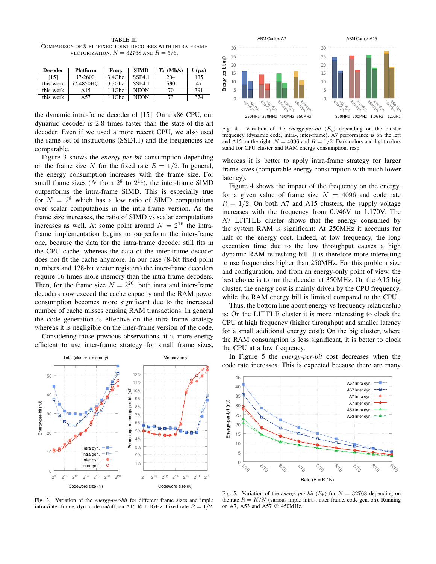TABLE III COMPARISON OF 8-BIT FIXED-POINT DECODERS WITH INTRA-FRAME VECTORIZATION.  $N = 32768$  AND  $R = 5/6$ .

| <b>Decoder</b> | <b>Platform</b> | Freq.     | <b>SIMD</b>   | $T_i$ (Mb/s) | $l(\mu s)$ |
|----------------|-----------------|-----------|---------------|--------------|------------|
| [15]           | $i7-2600$       | $3.4$ Ghz | <b>SSE4.1</b> | 204          | 135        |
| this work      | i7-4850HO       | $3.3$ Ghz | <b>SSE4.1</b> | 580          | 47         |
| this work      | A 15            | 1.1Ghz    | <b>NEON</b>   | 70           | 391        |
| this work      | A57             | $1.1$ Ghz | <b>NEON</b>   | 73           | 374        |

the dynamic intra-frame decoder of [15]. On a x86 CPU, our dynamic decoder is 2.8 times faster than the state-of-the-art decoder. Even if we used a more recent CPU, we also used the same set of instructions (SSE4.1) and the frequencies are comparable.

Figure 3 shows the *energy-per-bit* consumption depending on the frame size N for the fixed rate  $R = 1/2$ . In general, the energy consumption increases with the frame size. For small frame sizes (N from  $2^8$  to  $2^{14}$ ), the inter-frame SIMD outperforms the intra-frame SIMD. This is especially true for  $N = 2^8$  which has a low ratio of SIMD computations over scalar computations in the intra-frame version. As the frame size increases, the ratio of SIMD vs scalar computations increases as well. At some point around  $N = 2^{16}$  the intraframe implementation begins to outperform the inter-frame one, because the data for the intra-frame decoder still fits in the CPU cache, whereas the data of the inter-frame decoder does not fit the cache anymore. In our case (8-bit fixed point numbers and 128-bit vector registers) the inter-frame decoders require 16 times more memory than the intra-frame decoders. Then, for the frame size  $N = 2^{20}$ , both intra and inter-frame decoders now exceed the cache capacity and the RAM power consumption becomes more significant due to the increased number of cache misses causing RAM transactions. In general the code generation is effective on the intra-frame strategy whereas it is negligible on the inter-frame version of the code.

Considering those previous observations, it is more energy efficient to use inter-frame strategy for small frame sizes,







Fig. 4. Variation of the *energy-per-bit*  $(E_b)$  depending on the cluster frequency (dynamic code, intra-, inter-frame). A7 performance is on the left and A15 on the right.  $N = 4096$  and  $R = 1/2$ . Dark colors and light colors stand for CPU cluster and RAM energy consumption, resp.

whereas it is better to apply intra-frame strategy for larger frame sizes (comparable energy consumption with much lower latency).

Figure 4 shows the impact of the frequency on the energy, for a given value of frame size  $N = 4096$  and code rate  $R = 1/2$ . On both A7 and A15 clusters, the supply voltage increases with the frequency from 0.946V to 1.170V. The A7 LITTLE cluster shows that the energy consumed by the system RAM is significant: At 250MHz it accounts for half of the energy cost. Indeed, at low frequency, the long execution time due to the low throughput causes a high dynamic RAM refreshing bill. It is therefore more interesting to use frequencies higher than 250MHz. For this problem size and configuration, and from an energy-only point of view, the best choice is to run the decoder at 350MHz. On the A15 big cluster, the energy cost is mainly driven by the CPU frequency, while the RAM energy bill is limited compared to the CPU.

Thus, the bottom line about energy vs frequency relationship is: On the LITTLE cluster it is more interesting to clock the CPU at high frequency (higher throughput and smaller latency for a small additional energy cost); On the big cluster, where the RAM consumption is less significant, it is better to clock the CPU at a low frequency.

In Figure 5 the *energy-per-bit* cost decreases when the code rate increases. This is expected because there are many



Fig. 5. Variation of the *energy-per-bit*  $(E_b)$  for  $N = 32768$  depending on the rate  $R = K/N$  (various impl.: intra-, inter-frame, code gen. on). Running on A7, A53 and A57 @ 450MHz.